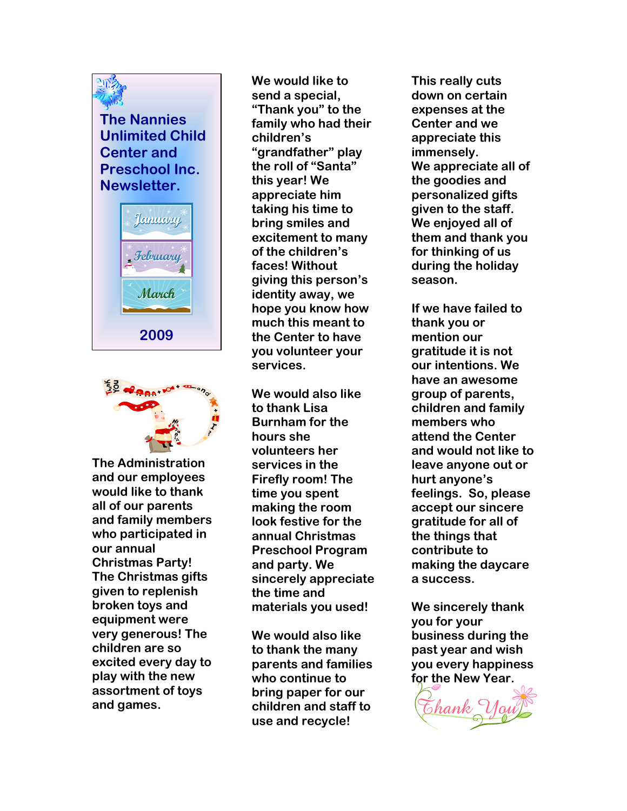## The Nannies Unlimited Child Center and Preschool Inc. Newsletter.





The Administration and our employees would like to thank all of our parents and family members who participated in our annual Christmas Party! The Christmas gifts given to replenish broken toys and equipment were very generous! The children are so excited every day to play with the new assortment of toys and games.

We would like to send a special, "Thank you" to the family who had their children's "grandfather" play the roll of "Santa" this year! We appreciate him taking his time to bring smiles and excitement to many of the children's faces! Without giving this person's identity away, we hope you know how much this meant to the Center to have you volunteer your services.

We would also like to thank Lisa Burnham for the hours she volunteers her services in the Firefly room! The time you spent making the room look festive for the annual Christmas Preschool Program and party. We sincerely appreciate the time and materials you used!

We would also like to thank the many parents and families who continue to bring paper for our children and staff to use and recycle!

This really cuts down on certain expenses at the Center and we appreciate this immensely. We appreciate all of the goodies and personalized gifts given to the staff. We enjoyed all of them and thank you for thinking of us during the holiday season.

If we have failed to thank you or mention our gratitude it is not our intentions. We have an awesome group of parents, children and family members who attend the Center and would not like to leave anyone out or hurt anyone's feelings. So, please accept our sincere gratitude for all of the things that contribute to making the daycare a success.

We sincerely thank you for your business during the past year and wish you every happiness for the New Year.

Chank V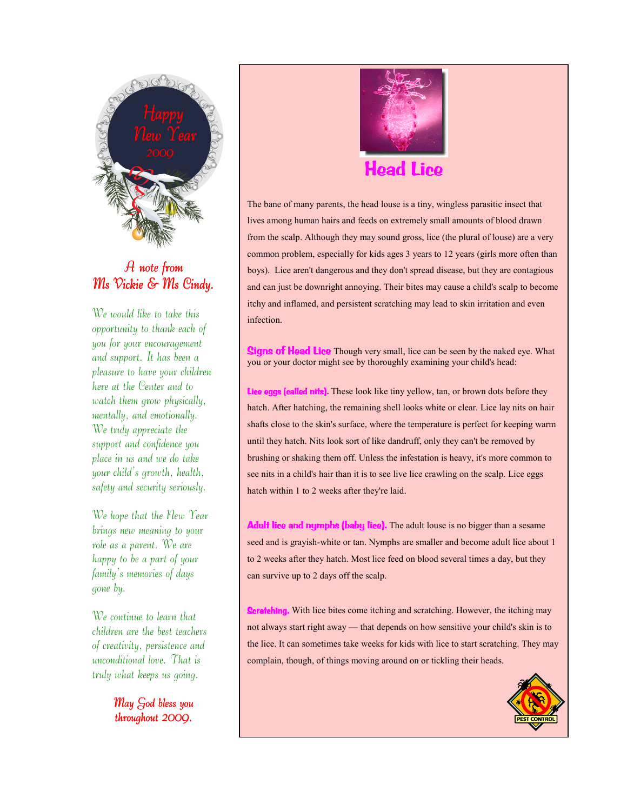

## $A$  note from Ms Vickie & Ms Cindy.

We would like to take this opportunity to thank each of you for your encouragement and support. It has been a pleasure to have your children here at the Center and to watch them grow physically, mentally, and emotionally. We truly appreciate the support and confidence you place in us and we do take your child's growth, health, safety and security seriously.

We hope that the New Year brings new meaning to your role as a parent. We are happy to be a part of your family's memories of days gone by.

We continue to learn that children are the best teachers of creativity, persistence and unconditional love. That is truly what keeps us going.

> May God bless you throughout 2000.



The bane of many parents, the head louse is a tiny, wingless parasitic insect that lives among human hairs and feeds on extremely small amounts of blood drawn from the scalp. Although they may sound gross, lice (the plural of louse) are a very common problem, especially for kids ages 3 years to 12 years (girls more often than boys). Lice aren't dangerous and they don't spread disease, but they are contagious and can just be downright annoying. Their bites may cause a child's scalp to become itchy and inflamed, and persistent scratching may lead to skin irritation and even infection.

Signs of Head Lice Though very small, lice can be seen by the naked eye. What you or your doctor might see by thoroughly examining your child's head:

Lice eggs (called nits). These look like tiny yellow, tan, or brown dots before they hatch. After hatching, the remaining shell looks white or clear. Lice lay nits on hair shafts close to the skin's surface, where the temperature is perfect for keeping warm until they hatch. Nits look sort of like dandruff, only they can't be removed by brushing or shaking them off. Unless the infestation is heavy, it's more common to see nits in a child's hair than it is to see live lice crawling on the scalp. Lice eggs hatch within 1 to 2 weeks after they're laid.

Adult lice and nymphs (baby lice). The adult louse is no bigger than a sesame seed and is grayish-white or tan. Nymphs are smaller and become adult lice about 1 to 2 weeks after they hatch. Most lice feed on blood several times a day, but they can survive up to 2 days off the scalp.

**Scratching.** With lice bites come itching and scratching. However, the itching may not always start right away — that depends on how sensitive your child's skin is to the lice. It can sometimes take weeks for kids with lice to start scratching. They may complain, though, of things moving around on or tickling their heads.

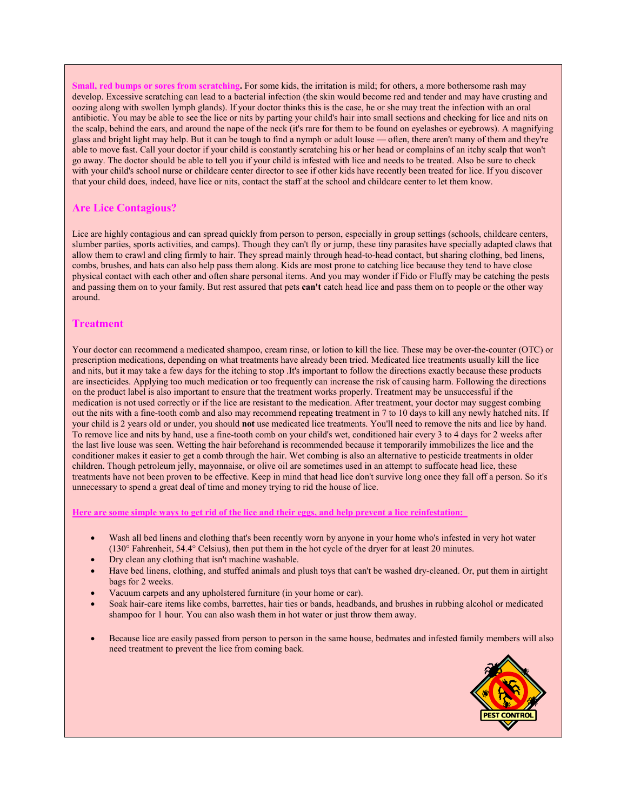Small, red bumps or sores from scratching. For some kids, the irritation is mild; for others, a more bothersome rash may develop. Excessive scratching can lead to a bacterial infection (the skin would become red and tender and may have crusting and oozing along with swollen lymph glands). If your doctor thinks this is the case, he or she may treat the infection with an oral antibiotic. You may be able to see the lice or nits by parting your child's hair into small sections and checking for lice and nits on the scalp, behind the ears, and around the nape of the neck (it's rare for them to be found on eyelashes or eyebrows). A magnifying glass and bright light may help. But it can be tough to find a nymph or adult louse — often, there aren't many of them and they're able to move fast. Call your doctor if your child is constantly scratching his or her head or complains of an itchy scalp that won't go away. The doctor should be able to tell you if your child is infested with lice and needs to be treated. Also be sure to check with your child's school nurse or childcare center director to see if other kids have recently been treated for lice. If you discover that your child does, indeed, have lice or nits, contact the staff at the school and childcare center to let them know.

#### Are Lice Contagious?

Lice are highly contagious and can spread quickly from person to person, especially in group settings (schools, childcare centers, slumber parties, sports activities, and camps). Though they can't fly or jump, these tiny parasites have specially adapted claws that allow them to crawl and cling firmly to hair. They spread mainly through head-to-head contact, but sharing clothing, bed linens, combs, brushes, and hats can also help pass them along. Kids are most prone to catching lice because they tend to have close physical contact with each other and often share personal items. And you may wonder if Fido or Fluffy may be catching the pests and passing them on to your family. But rest assured that pets can't catch head lice and pass them on to people or the other way around.

#### **Treatment**

Your doctor can recommend a medicated shampoo, cream rinse, or lotion to kill the lice. These may be over-the-counter (OTC) or prescription medications, depending on what treatments have already been tried. Medicated lice treatments usually kill the lice and nits, but it may take a few days for the itching to stop .It's important to follow the directions exactly because these products are insecticides. Applying too much medication or too frequently can increase the risk of causing harm. Following the directions on the product label is also important to ensure that the treatment works properly. Treatment may be unsuccessful if the medication is not used correctly or if the lice are resistant to the medication. After treatment, your doctor may suggest combing out the nits with a fine-tooth comb and also may recommend repeating treatment in 7 to 10 days to kill any newly hatched nits. If your child is 2 years old or under, you should not use medicated lice treatments. You'll need to remove the nits and lice by hand. To remove lice and nits by hand, use a fine-tooth comb on your child's wet, conditioned hair every 3 to 4 days for 2 weeks after the last live louse was seen. Wetting the hair beforehand is recommended because it temporarily immobilizes the lice and the conditioner makes it easier to get a comb through the hair. Wet combing is also an alternative to pesticide treatments in older children. Though petroleum jelly, mayonnaise, or olive oil are sometimes used in an attempt to suffocate head lice, these treatments have not been proven to be effective. Keep in mind that head lice don't survive long once they fall off a person. So it's unnecessary to spend a great deal of time and money trying to rid the house of lice.

Here are some simple ways to get rid of the lice and their eggs, and help prevent a lice reinfestation:

- Wash all bed linens and clothing that's been recently worn by anyone in your home who's infested in very hot water (130° Fahrenheit, 54.4° Celsius), then put them in the hot cycle of the dryer for at least 20 minutes.
- Dry clean any clothing that isn't machine washable.
- Have bed linens, clothing, and stuffed animals and plush toys that can't be washed dry-cleaned. Or, put them in airtight bags for 2 weeks.
- Vacuum carpets and any upholstered furniture (in your home or car).
- Soak hair-care items like combs, barrettes, hair ties or bands, headbands, and brushes in rubbing alcohol or medicated shampoo for 1 hour. You can also wash them in hot water or just throw them away.
- Because lice are easily passed from person to person in the same house, bedmates and infested family members will also need treatment to prevent the lice from coming back.

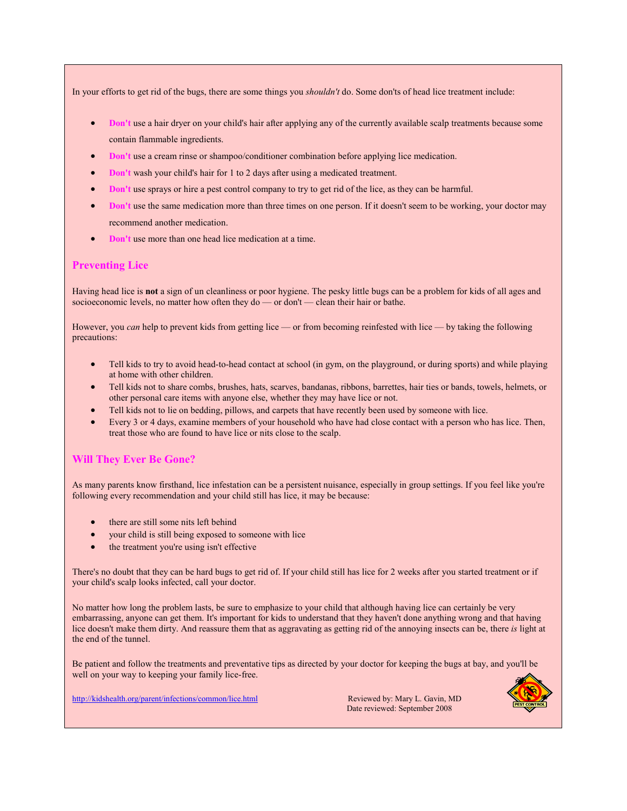In your efforts to get rid of the bugs, there are some things you *shouldn't* do. Some don'ts of head lice treatment include:

- Don't use a hair dryer on your child's hair after applying any of the currently available scalp treatments because some contain flammable ingredients.
- Don't use a cream rinse or shampoo/conditioner combination before applying lice medication.
- Don't wash your child's hair for 1 to 2 days after using a medicated treatment.
- Don't use sprays or hire a pest control company to try to get rid of the lice, as they can be harmful.
- Don't use the same medication more than three times on one person. If it doesn't seem to be working, your doctor may recommend another medication.
- Don't use more than one head lice medication at a time.

#### Preventing Lice

Having head lice is not a sign of un cleanliness or poor hygiene. The pesky little bugs can be a problem for kids of all ages and socioeconomic levels, no matter how often they do — or don't — clean their hair or bathe.

However, you can help to prevent kids from getting lice — or from becoming reinfested with lice — by taking the following precautions:

- Tell kids to try to avoid head-to-head contact at school (in gym, on the playground, or during sports) and while playing at home with other children.
- Tell kids not to share combs, brushes, hats, scarves, bandanas, ribbons, barrettes, hair ties or bands, towels, helmets, or other personal care items with anyone else, whether they may have lice or not.
- Tell kids not to lie on bedding, pillows, and carpets that have recently been used by someone with lice.
- Every 3 or 4 days, examine members of your household who have had close contact with a person who has lice. Then, treat those who are found to have lice or nits close to the scalp.

#### Will They Ever Be Gone?

As many parents know firsthand, lice infestation can be a persistent nuisance, especially in group settings. If you feel like you're following every recommendation and your child still has lice, it may be because:

- there are still some nits left behind
- your child is still being exposed to someone with lice
- the treatment you're using isn't effective

There's no doubt that they can be hard bugs to get rid of. If your child still has lice for 2 weeks after you started treatment or if your child's scalp looks infected, call your doctor.

No matter how long the problem lasts, be sure to emphasize to your child that although having lice can certainly be very embarrassing, anyone can get them. It's important for kids to understand that they haven't done anything wrong and that having lice doesn't make them dirty. And reassure them that as aggravating as getting rid of the annoying insects can be, there is light at the end of the tunnel.

Be patient and follow the treatments and preventative tips as directed by your doctor for keeping the bugs at bay, and you'll be well on your way to keeping your family lice-free.

http://kidshealth.org/parent/infections/common/lice.html Reviewed by: Mary L. Gavin, MD

Date reviewed: September 2008

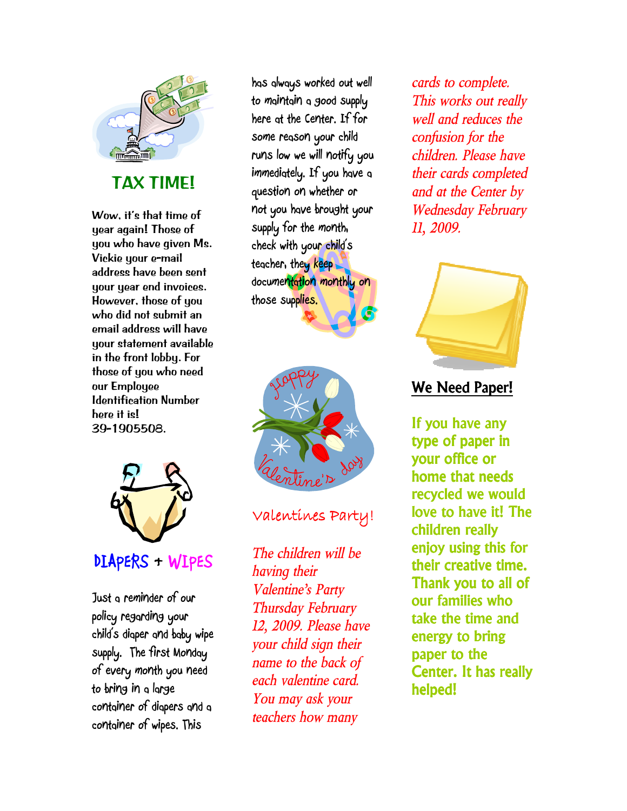

TAX TIME!

Wow, it's that time of year again! Those of you who have given Ms. Vickie your e-mail address have been sent your year end invoices. However, those of you who did not submit an email address will have your statement available in the front lobby. For those of you who need our Employee Identification Number here it is! 39-1905508.



Just a reminder of our policy regarding your child's diaper and baby wipe supply. The first Monday of every month you need to bring in a large container of diapers and a container of wipes. This

has always worked out well to maintain a good supply here at the Center. If for some reason your child runs low we will notify you immediately. If you have a question on whether or not you have brought your supply for the month, check with your child's teacher, they keep documentation monthly on those supplies.



Valentines Party!

The children will be having their Valentine's Party Thursday February 12, 2009. Please have your child sign their name to the back of each valentine card. You may ask your teachers how many

cards to complete. This works out really well and reduces the confusion for the children. Please have their cards completed and at the Center by Wednesday February 11,2009.



# We Need Paper!

If you have any type of paper in your office or home that needs recycled we would love to have it! The children really enjoy using this for their creative time. Thank you to all of our families who take the time and energy to bring paper to the Center. It has really helped!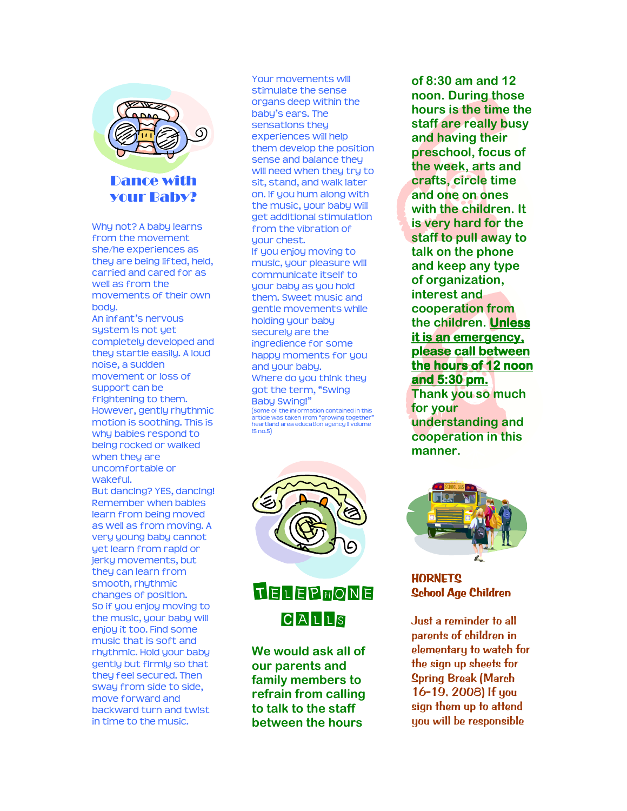

### Dance with your Baby?

Why not? A baby learns from the movement she/he experiences as they are being lifted, held, carried and cared for as well as from the movements of their own bodu. An infant's nervous system is not yet completely developed and they startle easily. A loud noise, a sudden movement or loss of support can be frightening to them. However, gently rhythmic motion is soothing. This is why babies respond to being rocked or walked when they are uncomfortable or wakeful. But dancing? YES, dancing! Remember when babies learn from being moved as well as from moving. A very young baby cannot yet learn from rapid or jerky movements, but they can learn from

smooth, rhythmic changes of position. So if you enjoy moving to the music, your baby will enjoy it too. Find some music that is soft and rhythmic. Hold your baby gently but firmly so that they feel secured. Then sway from side to side, move forward and backward turn and twist in time to the music.

Your movements will stimulate the sense organs deep within the baby's ears. The sensations they experiences will help them develop the position sense and balance they will need when they try to sit, stand, and walk later on. If you hum along with the music, your baby will get additional stimulation from the vibration of your chest. If you enjoy moving to music, your pleasure will communicate itself to your baby as you hold them. Sweet music and gentle movements while holding your baby securely are the ingredience for some happy moments for you and your baby. Where do you think they got the term, "Swing Baby Swing!" (Some of the information contained in this article was taken from "growing together" heartland area education agency II volume 15 no.5)





We would ask all of our parents and family members to refrain from calling to talk to the staff between the hours

of 8:30 am and 12 noon. During those hours is the time the staff are really busy and having their preschool, focus of the week, arts and crafts, circle time and one on ones with the children. It is very hard for the staff to pull away to talk on the phone and keep any type of organization, interest and cooperation from the children. Unless it is an emergency, please call between the hours of 12 noon and  $5:30$  pm. Thank you so much for your understanding and cooperation in this manner.



**HORNETS** School Age Children

Just a reminder to all parents of children in elementary to watch for the sign up sheets for Spring Break (March 16-19, 2008) If you sign them up to attend you will be responsible